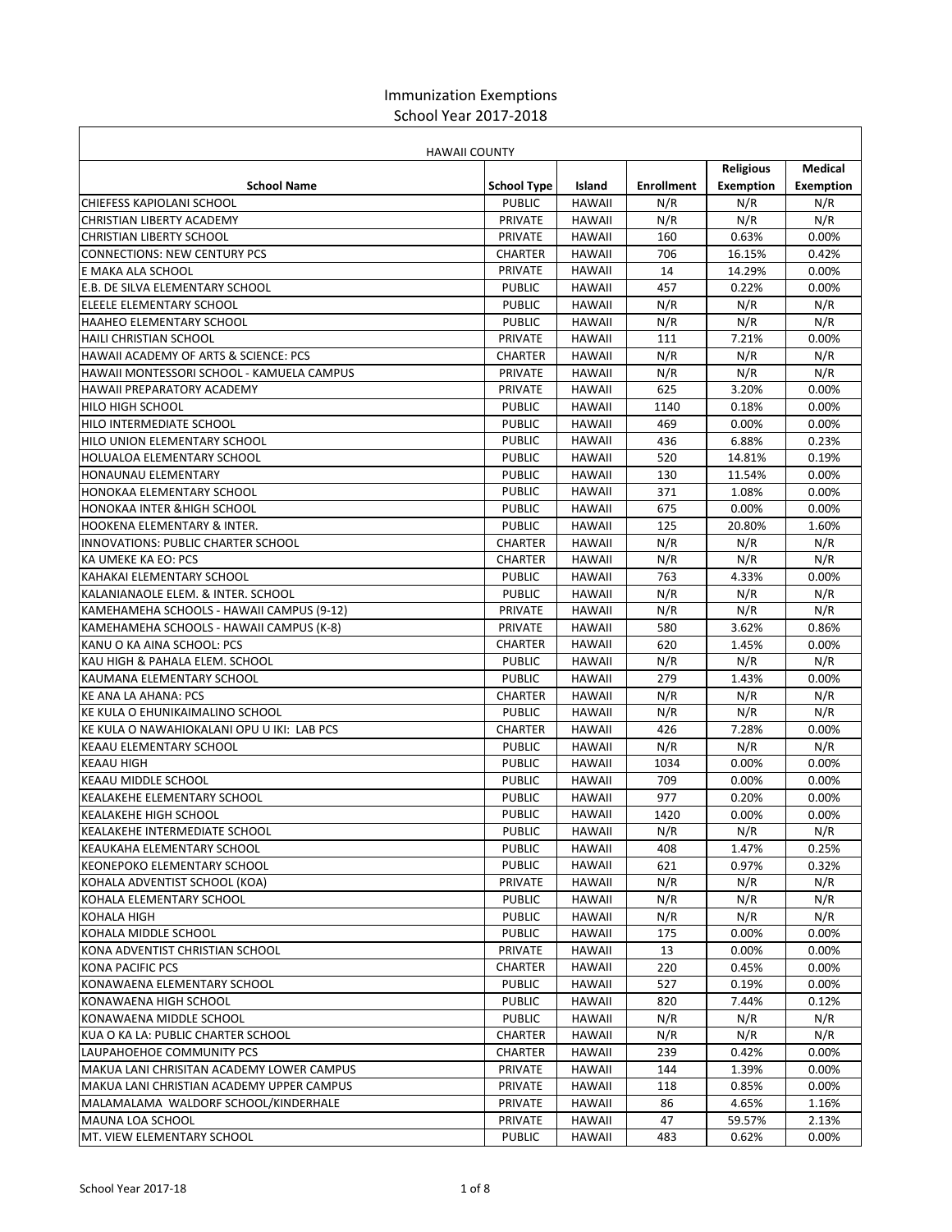## Immunization Exemptions School Year 2017‐2018

| <b>HAWAII COUNTY</b>                                          |                    |               |                   |                  |                 |
|---------------------------------------------------------------|--------------------|---------------|-------------------|------------------|-----------------|
|                                                               |                    |               |                   | <b>Religious</b> | Medical         |
| <b>School Name</b>                                            | <b>School Type</b> | Island        | <b>Enrollment</b> | Exemption        | Exemption       |
| <b>CHIEFESS KAPIOLANI SCHOOL</b>                              | <b>PUBLIC</b>      | <b>HAWAII</b> | N/R               | N/R              | N/R             |
| CHRISTIAN LIBERTY ACADEMY                                     | <b>PRIVATE</b>     | <b>HAWAII</b> | N/R               | N/R              | N/R             |
| <b>CHRISTIAN LIBERTY SCHOOL</b>                               | <b>PRIVATE</b>     | <b>HAWAII</b> | 160               | 0.63%            | 0.00%           |
| <b>CONNECTIONS: NEW CENTURY PCS</b>                           | CHARTER            | <b>HAWAII</b> | 706               | 16.15%           | 0.42%           |
| E MAKA ALA SCHOOL                                             | <b>PRIVATE</b>     | <b>HAWAII</b> | 14                | 14.29%           | 0.00%           |
| <b>E.B. DE SILVA ELEMENTARY SCHOOL</b>                        | <b>PUBLIC</b>      | <b>HAWAII</b> | 457               | 0.22%            | 0.00%           |
| ELEELE ELEMENTARY SCHOOL                                      | <b>PUBLIC</b>      | <b>HAWAII</b> | N/R               | N/R              | N/R             |
| <b>HAAHEO ELEMENTARY SCHOOL</b>                               | <b>PUBLIC</b>      | <b>HAWAII</b> | N/R               | N/R              | N/R             |
| HAILI CHRISTIAN SCHOOL                                        | <b>PRIVATE</b>     | <b>HAWAII</b> | 111               | 7.21%            | 0.00%           |
| HAWAII ACADEMY OF ARTS & SCIENCE: PCS                         | <b>CHARTER</b>     | <b>HAWAII</b> | N/R               | N/R              | N/R             |
| HAWAII MONTESSORI SCHOOL - KAMUELA CAMPUS                     | <b>PRIVATE</b>     | <b>HAWAII</b> | N/R               | N/R              | N/R             |
| HAWAII PREPARATORY ACADEMY                                    | <b>PRIVATE</b>     | <b>HAWAII</b> | 625               | 3.20%            | 0.00%           |
| <b>HILO HIGH SCHOOL</b>                                       | <b>PUBLIC</b>      | <b>HAWAII</b> | 1140              | 0.18%            | 0.00%           |
| HILO INTERMEDIATE SCHOOL                                      | <b>PUBLIC</b>      | <b>HAWAII</b> | 469               | 0.00%            | 0.00%           |
| <b>HILO UNION ELEMENTARY SCHOOL</b>                           | <b>PUBLIC</b>      | <b>HAWAII</b> | 436               | 6.88%            | 0.23%           |
| HOLUALOA ELEMENTARY SCHOOL                                    | <b>PUBLIC</b>      | <b>HAWAII</b> | 520               | 14.81%           | 0.19%           |
| HONAUNAU ELEMENTARY                                           | <b>PUBLIC</b>      | <b>HAWAII</b> | 130               | 11.54%           | 0.00%           |
| <b>HONOKAA ELEMENTARY SCHOOL</b>                              | <b>PUBLIC</b>      | <b>HAWAII</b> | 371               | 1.08%            | 0.00%           |
| <b>HONOKAA INTER &amp; HIGH SCHOOL</b>                        | <b>PUBLIC</b>      | <b>HAWAII</b> | 675               | 0.00%            | 0.00%           |
| <b>HOOKENA ELEMENTARY &amp; INTER.</b>                        | <b>PUBLIC</b>      | <b>HAWAII</b> | 125               | 20.80%           | 1.60%           |
| INNOVATIONS: PUBLIC CHARTER SCHOOL                            | <b>CHARTER</b>     | HAWAII        | N/R               | N/R              | N/R             |
| KA UMEKE KA EO: PCS                                           | <b>CHARTER</b>     | <b>HAWAII</b> | N/R               | N/R              | N/R             |
| KAHAKAI ELEMENTARY SCHOOL                                     | <b>PUBLIC</b>      | <b>HAWAII</b> | 763               | 4.33%            | 0.00%           |
| KALANIANAOLE ELEM. & INTER. SCHOOL                            | <b>PUBLIC</b>      | <b>HAWAII</b> | N/R               | N/R              | N/R             |
| KAMEHAMEHA SCHOOLS - HAWAII CAMPUS (9-12)                     | <b>PRIVATE</b>     | <b>HAWAII</b> | N/R               | N/R              | N/R             |
| KAMEHAMEHA SCHOOLS - HAWAII CAMPUS (K-8)                      | <b>PRIVATE</b>     | <b>HAWAII</b> | 580               | 3.62%            | 0.86%           |
| KANU O KA AINA SCHOOL: PCS                                    | <b>CHARTER</b>     | <b>HAWAII</b> | 620               | 1.45%            | 0.00%           |
| KAU HIGH & PAHALA ELEM. SCHOOL                                | <b>PUBLIC</b>      | <b>HAWAII</b> | N/R               | N/R              | N/R             |
| KAUMANA ELEMENTARY SCHOOL                                     | <b>PUBLIC</b>      | <b>HAWAII</b> | 279               | 1.43%            | 0.00%           |
| <b>KE ANA LA AHANA: PCS</b>                                   | <b>CHARTER</b>     | <b>HAWAII</b> | N/R               | N/R              | N/R             |
| KE KULA O EHUNIKAIMALINO SCHOOL                               | <b>PUBLIC</b>      | <b>HAWAII</b> | N/R               | N/R              | N/R             |
| KE KULA O NAWAHIOKALANI OPU U IKI: LAB PCS                    | <b>CHARTER</b>     | HAWAII        | 426               | 7.28%            | 0.00%           |
| <b>KEAAU ELEMENTARY SCHOOL</b>                                | <b>PUBLIC</b>      | <b>HAWAII</b> | N/R               | N/R              | N/R             |
| <b>KEAAU HIGH</b>                                             | <b>PUBLIC</b>      | <b>HAWAII</b> | 1034              | 0.00%            | 0.00%           |
| <b>KEAAU MIDDLE SCHOOL</b>                                    | <b>PUBLIC</b>      | <b>HAWAII</b> | 709               | 0.00%            | 0.00%           |
| KEALAKEHE ELEMENTARY SCHOOL                                   | <b>PUBLIC</b>      | <b>HAWAII</b> | 977               | 0.20%            | 0.00%           |
|                                                               | <b>PUBLIC</b>      | <b>HAWAII</b> |                   |                  |                 |
| <b>KEALAKEHE HIGH SCHOOL</b><br>KEALAKEHE INTERMEDIATE SCHOOL | PUBLIC             | <b>HAWAII</b> | 1420<br>N/R       | 0.00%<br>N/R     | $0.00\%$<br>N/R |
|                                                               | <b>PUBLIC</b>      |               | 408               | 1.47%            | 0.25%           |
| KEAUKAHA ELEMENTARY SCHOOL                                    | <b>PUBLIC</b>      | HAWAII        |                   | 0.97%            |                 |
| KEONEPOKO ELEMENTARY SCHOOL                                   |                    | <b>HAWAII</b> | 621<br>N/R        |                  | 0.32%           |
| KOHALA ADVENTIST SCHOOL (KOA)                                 | <b>PRIVATE</b>     | <b>HAWAII</b> |                   | N/R              | N/R             |
| KOHALA ELEMENTARY SCHOOL                                      | <b>PUBLIC</b>      | <b>HAWAII</b> | N/R               | N/R              | N/R             |
| KOHALA HIGH                                                   | <b>PUBLIC</b>      | <b>HAWAII</b> | N/R               | N/R              | N/R             |
| KOHALA MIDDLE SCHOOL                                          | <b>PUBLIC</b>      | HAWAII        | 175               | 0.00%            | 0.00%           |
| KONA ADVENTIST CHRISTIAN SCHOOL                               | PRIVATE            | HAWAII        | 13                | 0.00%            | 0.00%           |
| <b>KONA PACIFIC PCS</b>                                       | <b>CHARTER</b>     | <b>HAWAII</b> | 220               | 0.45%            | 0.00%           |
| KONAWAENA ELEMENTARY SCHOOL                                   | <b>PUBLIC</b>      | HAWAII        | 527               | 0.19%            | 0.00%           |
| KONAWAENA HIGH SCHOOL                                         | <b>PUBLIC</b>      | <b>HAWAII</b> | 820               | 7.44%            | 0.12%           |
| KONAWAENA MIDDLE SCHOOL                                       | <b>PUBLIC</b>      | <b>HAWAII</b> | N/R               | N/R              | N/R             |
| KUA O KA LA: PUBLIC CHARTER SCHOOL                            | <b>CHARTER</b>     | <b>HAWAII</b> | N/R               | N/R              | N/R             |
| LAUPAHOEHOE COMMUNITY PCS                                     | CHARTER            | <b>HAWAII</b> | 239               | 0.42%            | $0.00\%$        |
| MAKUA LANI CHRISITAN ACADEMY LOWER CAMPUS                     | PRIVATE            | HAWAII        | 144               | 1.39%            | 0.00%           |
| MAKUA LANI CHRISTIAN ACADEMY UPPER CAMPUS                     | PRIVATE            | HAWAII        | 118               | 0.85%            | 0.00%           |
| MALAMALAMA WALDORF SCHOOL/KINDERHALE                          | PRIVATE            | HAWAII        | 86                | 4.65%            | 1.16%           |
| MAUNA LOA SCHOOL                                              | PRIVATE            | HAWAII        | 47                | 59.57%           | 2.13%           |
| MT. VIEW ELEMENTARY SCHOOL                                    | <b>PUBLIC</b>      | HAWAII        | 483               | 0.62%            | 0.00%           |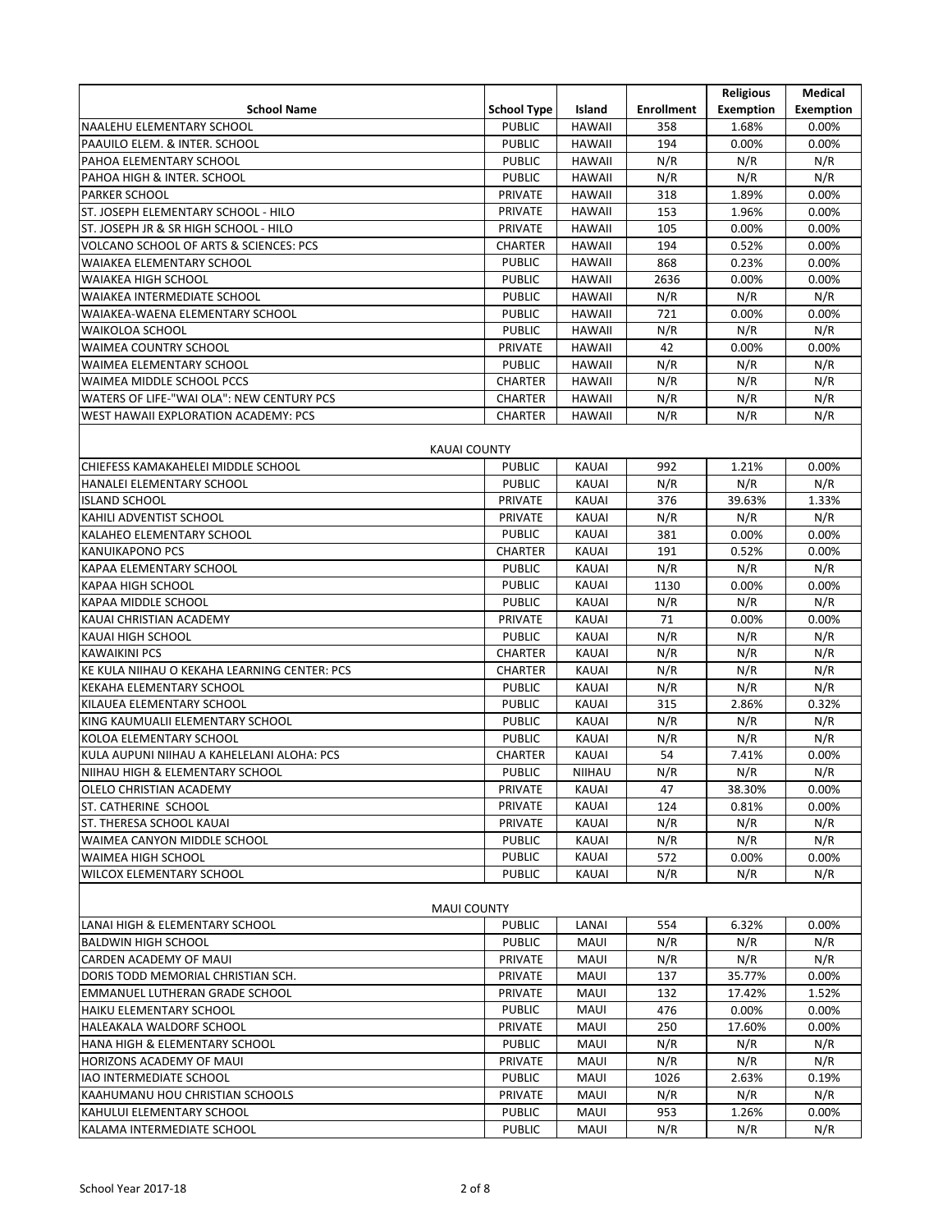|                                                   |                    |               |                   | <b>Religious</b> | Medical   |
|---------------------------------------------------|--------------------|---------------|-------------------|------------------|-----------|
| <b>School Name</b>                                | <b>School Type</b> | Island        | <b>Enrollment</b> | Exemption        | Exemption |
| NAALEHU ELEMENTARY SCHOOL                         | <b>PUBLIC</b>      | <b>HAWAII</b> | 358               | 1.68%            | 0.00%     |
| PAAUILO ELEM. & INTER. SCHOOL                     | <b>PUBLIC</b>      | <b>HAWAII</b> | 194               | 0.00%            | 0.00%     |
| PAHOA ELEMENTARY SCHOOL                           | <b>PUBLIC</b>      | <b>HAWAII</b> | N/R               | N/R              | N/R       |
| PAHOA HIGH & INTER. SCHOOL                        | <b>PUBLIC</b>      | <b>HAWAII</b> | N/R               | N/R              | N/R       |
| PARKER SCHOOL                                     | <b>PRIVATE</b>     | <b>HAWAII</b> | 318               | 1.89%            | 0.00%     |
| ST. JOSEPH ELEMENTARY SCHOOL - HILO               | <b>PRIVATE</b>     | <b>HAWAII</b> | 153               | 1.96%            | 0.00%     |
| ST. JOSEPH JR & SR HIGH SCHOOL - HILO             | <b>PRIVATE</b>     | <b>HAWAII</b> | 105               | 0.00%            | 0.00%     |
| <b>VOLCANO SCHOOL OF ARTS &amp; SCIENCES: PCS</b> | <b>CHARTER</b>     | <b>HAWAII</b> | 194               | 0.52%            | 0.00%     |
| WAIAKEA ELEMENTARY SCHOOL                         | <b>PUBLIC</b>      | <b>HAWAII</b> | 868               | 0.23%            | 0.00%     |
| <b>WAIAKEA HIGH SCHOOL</b>                        | <b>PUBLIC</b>      | <b>HAWAII</b> | 2636              | 0.00%            | 0.00%     |
| WAIAKEA INTERMEDIATE SCHOOL                       | <b>PUBLIC</b>      | <b>HAWAII</b> | N/R               | N/R              | N/R       |
| WAIAKEA-WAENA ELEMENTARY SCHOOL                   | <b>PUBLIC</b>      | <b>HAWAII</b> | 721               | 0.00%            | 0.00%     |
| <b>WAIKOLOA SCHOOL</b>                            | <b>PUBLIC</b>      | <b>HAWAII</b> | N/R               | N/R              | N/R       |
| <b>WAIMEA COUNTRY SCHOOL</b>                      | PRIVATE            | <b>HAWAII</b> | 42                | 0.00%            | 0.00%     |
| WAIMEA ELEMENTARY SCHOOL                          | <b>PUBLIC</b>      | <b>HAWAII</b> | N/R               | N/R              | N/R       |
| WAIMEA MIDDLE SCHOOL PCCS                         | <b>CHARTER</b>     | <b>HAWAII</b> | N/R               | N/R              | N/R       |
| WATERS OF LIFE-"WAI OLA": NEW CENTURY PCS         | <b>CHARTER</b>     | <b>HAWAII</b> | N/R               | N/R              | N/R       |
| WEST HAWAII EXPLORATION ACADEMY: PCS              | <b>CHARTER</b>     | <b>HAWAII</b> | N/R               | N/R              | N/R       |
|                                                   |                    |               |                   |                  |           |
| KAUAI COUNTY                                      |                    |               |                   |                  |           |
| CHIEFESS KAMAKAHELEI MIDDLE SCHOOL                | <b>PUBLIC</b>      | <b>KAUAI</b>  | 992               | 1.21%            | 0.00%     |
| HANALEI ELEMENTARY SCHOOL                         | <b>PUBLIC</b>      | <b>KAUAI</b>  | N/R               | N/R              | N/R       |
| <b>ISLAND SCHOOL</b>                              | <b>PRIVATE</b>     | KAUAI         | 376               | 39.63%           | 1.33%     |
| KAHILI ADVENTIST SCHOOL                           | <b>PRIVATE</b>     | <b>KAUAI</b>  | N/R               | N/R              | N/R       |
| KALAHEO ELEMENTARY SCHOOL                         | <b>PUBLIC</b>      | <b>KAUAI</b>  | 381               | 0.00%            | 0.00%     |
| <b>KANUIKAPONO PCS</b>                            | <b>CHARTER</b>     | KAUAI         | 191               | 0.52%            | 0.00%     |
| KAPAA ELEMENTARY SCHOOL                           | <b>PUBLIC</b>      | <b>KAUAI</b>  | N/R               | N/R              | N/R       |
| KAPAA HIGH SCHOOL                                 | <b>PUBLIC</b>      | <b>KAUAI</b>  | 1130              | 0.00%            | 0.00%     |
| KAPAA MIDDLE SCHOOL                               | <b>PUBLIC</b>      | <b>KAUAI</b>  | N/R               | N/R              | N/R       |
| KAUAI CHRISTIAN ACADEMY                           | <b>PRIVATE</b>     | <b>KAUAI</b>  | 71                | 0.00%            | 0.00%     |
| KAUAI HIGH SCHOOL                                 | <b>PUBLIC</b>      | <b>KAUAI</b>  | N/R               | N/R              | N/R       |
| <b>KAWAIKINI PCS</b>                              | <b>CHARTER</b>     | <b>KAUAI</b>  | N/R               | N/R              | N/R       |
| KE KULA NIIHAU O KEKAHA LEARNING CENTER: PCS      | <b>CHARTER</b>     | KAUAI         | N/R               | N/R              | N/R       |
| <b>KEKAHA ELEMENTARY SCHOOL</b>                   | <b>PUBLIC</b>      | <b>KAUAI</b>  | N/R               | N/R              | N/R       |
| KILAUEA ELEMENTARY SCHOOL                         | <b>PUBLIC</b>      | <b>KAUAI</b>  | 315               | 2.86%            | 0.32%     |
| KING KAUMUALII ELEMENTARY SCHOOL                  | <b>PUBLIC</b>      | <b>KAUAI</b>  | N/R               | N/R              | N/R       |
| KOLOA ELEMENTARY SCHOOL                           | <b>PUBLIC</b>      | KAUAI         | N/R               | N/R              | N/R       |
| KULA AUPUNI NIIHAU A KAHELELANI ALOHA: PCS        | <b>CHARTER</b>     | <b>KAUAI</b>  | 54                | 7.41%            | 0.00%     |
| NIIHAU HIGH & ELEMENTARY SCHOOL                   | <b>PUBLIC</b>      | <b>NIIHAU</b> | N/R               | N/R              | N/R       |
| OLELO CHRISTIAN ACADEMY                           | PRIVATE            | <b>KAUAI</b>  | 47                | 38.30%           | 0.00%     |
| ST. CATHERINE SCHOOL                              | <b>PRIVATE</b>     | KAUAI         | 124               | 0.81%            | 0.00%     |
| ST. THERESA SCHOOL KAUAI                          | <b>PRIVATE</b>     | KAUAI         | N/R               | N/R              | N/R       |
| WAIMEA CANYON MIDDLE SCHOOL                       | <b>PUBLIC</b>      | KAUAI         | N/R               | N/R              | N/R       |
| WAIMEA HIGH SCHOOL                                | <b>PUBLIC</b>      | KAUAI         | 572               | 0.00%            | 0.00%     |
| <b>WILCOX ELEMENTARY SCHOOL</b>                   | <b>PUBLIC</b>      | KAUAI         | N/R               | N/R              | N/R       |
|                                                   |                    |               |                   |                  |           |
| <b>MAUI COUNTY</b>                                |                    |               |                   |                  |           |
| LANAI HIGH & ELEMENTARY SCHOOL                    | <b>PUBLIC</b>      | LANAI         | 554               | 6.32%            | 0.00%     |
| <b>BALDWIN HIGH SCHOOL</b>                        | <b>PUBLIC</b>      | MAUI          | N/R               | N/R              | N/R       |
| CARDEN ACADEMY OF MAUI                            | PRIVATE            | MAUI          | N/R               | N/R              | N/R       |
| DORIS TODD MEMORIAL CHRISTIAN SCH.                | PRIVATE            | MAUI          | 137               | 35.77%           | 0.00%     |
| EMMANUEL LUTHERAN GRADE SCHOOL                    | <b>PRIVATE</b>     | MAUI          | 132               | 17.42%           | 1.52%     |
| <b>HAIKU ELEMENTARY SCHOOL</b>                    | <b>PUBLIC</b>      | MAUI          | 476               | 0.00%            | 0.00%     |
| HALEAKALA WALDORF SCHOOL                          | <b>PRIVATE</b>     | MAUI          | 250               | 17.60%           | 0.00%     |
| HANA HIGH & ELEMENTARY SCHOOL                     | <b>PUBLIC</b>      | MAUI          | N/R               | N/R              | N/R       |
| HORIZONS ACADEMY OF MAUI                          | PRIVATE            | <b>MAUI</b>   | N/R               | N/R              | N/R       |
| IAO INTERMEDIATE SCHOOL                           | <b>PUBLIC</b>      | MAUI          | 1026              | 2.63%            | 0.19%     |
| KAAHUMANU HOU CHRISTIAN SCHOOLS                   | PRIVATE            | MAUI          | N/R               | N/R              | N/R       |
| KAHULUI ELEMENTARY SCHOOL                         | <b>PUBLIC</b>      | MAUI          | 953               | 1.26%            | 0.00%     |
| KALAMA INTERMEDIATE SCHOOL                        | <b>PUBLIC</b>      | MAUI          | N/R               | N/R              | N/R       |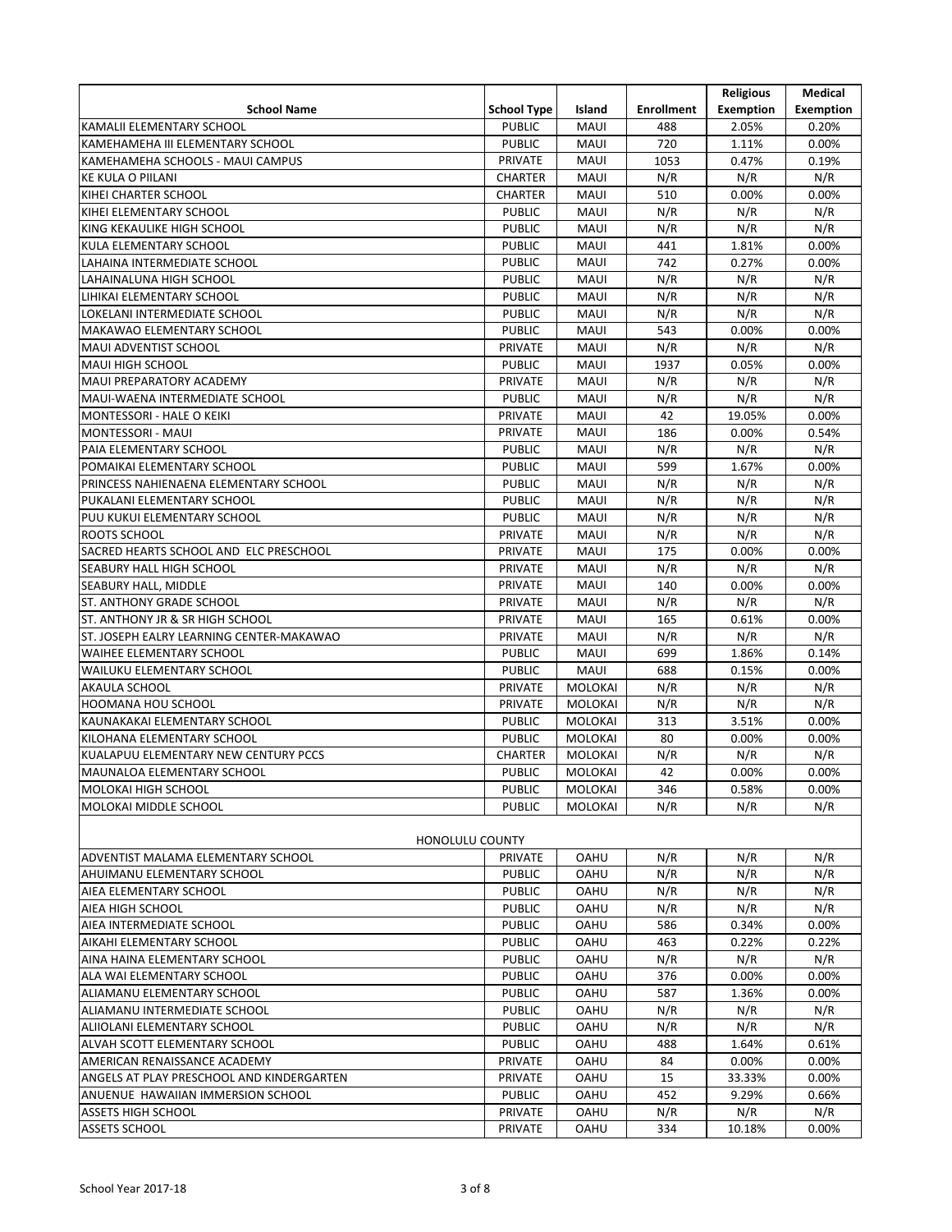|                                           |                    |                |                   | <b>Religious</b> | Medical          |
|-------------------------------------------|--------------------|----------------|-------------------|------------------|------------------|
| <b>School Name</b>                        | <b>School Type</b> | Island         | <b>Enrollment</b> | <b>Exemption</b> | <b>Exemption</b> |
| KAMALII ELEMENTARY SCHOOL                 | <b>PUBLIC</b>      | MAUI           | 488               | 2.05%            | 0.20%            |
| KAMEHAMEHA III ELEMENTARY SCHOOL          | <b>PUBLIC</b>      | MAUI           | 720               | 1.11%            | 0.00%            |
| KAMEHAMEHA SCHOOLS - MAUI CAMPUS          | PRIVATE            | <b>MAUI</b>    | 1053              | 0.47%            | 0.19%            |
| <b>KE KULA O PIILANI</b>                  | <b>CHARTER</b>     | <b>MAUI</b>    | N/R               | N/R              | N/R              |
| KIHEI CHARTER SCHOOL                      | <b>CHARTER</b>     | MAUI           | 510               | 0.00%            | 0.00%            |
| KIHEI ELEMENTARY SCHOOL                   | <b>PUBLIC</b>      | MAUI           | N/R               | N/R              | N/R              |
| KING KEKAULIKE HIGH SCHOOL                | <b>PUBLIC</b>      | <b>MAUI</b>    | N/R               | N/R              | N/R              |
| KULA ELEMENTARY SCHOOL                    | <b>PUBLIC</b>      | MAUI           | 441               | 1.81%            | 0.00%            |
| LAHAINA INTERMEDIATE SCHOOL               | <b>PUBLIC</b>      | <b>MAUI</b>    | 742               | 0.27%            | 0.00%            |
| LAHAINALUNA HIGH SCHOOL                   | <b>PUBLIC</b>      | <b>MAUI</b>    | N/R               | N/R              | N/R              |
| LIHIKAI ELEMENTARY SCHOOL                 | <b>PUBLIC</b>      | <b>MAUI</b>    | N/R               | N/R              | N/R              |
| LOKELANI INTERMEDIATE SCHOOL              | <b>PUBLIC</b>      | <b>MAUI</b>    | N/R               | N/R              | N/R              |
| MAKAWAO ELEMENTARY SCHOOL                 | <b>PUBLIC</b>      | <b>MAUI</b>    | 543               | 0.00%            | 0.00%            |
| MAUI ADVENTIST SCHOOL                     | <b>PRIVATE</b>     | <b>MAUI</b>    | N/R               | N/R              | N/R              |
| MAUI HIGH SCHOOL                          | <b>PUBLIC</b>      | MAUI           | 1937              | 0.05%            | 0.00%            |
| MAUI PREPARATORY ACADEMY                  | <b>PRIVATE</b>     | <b>MAUI</b>    | N/R               | N/R              | N/R              |
| MAUI-WAENA INTERMEDIATE SCHOOL            | <b>PUBLIC</b>      | <b>MAUI</b>    | N/R               | N/R              | N/R              |
| MONTESSORI - HALE O KEIKI                 | <b>PRIVATE</b>     | MAUI           | 42                | 19.05%           | 0.00%            |
| MONTESSORI - MAUI                         | <b>PRIVATE</b>     | <b>MAUI</b>    | 186               | 0.00%            | 0.54%            |
| PAIA ELEMENTARY SCHOOL                    | <b>PUBLIC</b>      | <b>MAUI</b>    | N/R               | N/R              | N/R              |
| POMAIKAI ELEMENTARY SCHOOL                | <b>PUBLIC</b>      | <b>MAUI</b>    | 599               | 1.67%            | 0.00%            |
| PRINCESS NAHIENAENA ELEMENTARY SCHOOL     | <b>PUBLIC</b>      | <b>MAUI</b>    | N/R               | N/R              | N/R              |
| PUKALANI ELEMENTARY SCHOOL                | <b>PUBLIC</b>      | MAUI           | N/R               | N/R              | N/R              |
| PUU KUKUI ELEMENTARY SCHOOL               | <b>PUBLIC</b>      | <b>MAUI</b>    | N/R               | N/R              | N/R              |
| ROOTS SCHOOL                              | <b>PRIVATE</b>     | <b>MAUI</b>    | N/R               | N/R              | N/R              |
| SACRED HEARTS SCHOOL AND ELC PRESCHOOL    | <b>PRIVATE</b>     | <b>MAUI</b>    | 175               | 0.00%            | 0.00%            |
| SEABURY HALL HIGH SCHOOL                  | <b>PRIVATE</b>     | <b>MAUI</b>    | N/R               | N/R              | N/R              |
| SEABURY HALL, MIDDLE                      | <b>PRIVATE</b>     | MAUI           | 140               | 0.00%            | 0.00%            |
| ST. ANTHONY GRADE SCHOOL                  | <b>PRIVATE</b>     | MAUI           | N/R               | N/R              | N/R              |
| ST. ANTHONY JR & SR HIGH SCHOOL           | <b>PRIVATE</b>     | MAUI           | 165               | 0.61%            | 0.00%            |
| ST. JOSEPH EALRY LEARNING CENTER-MAKAWAO  | <b>PRIVATE</b>     | MAUI           | N/R               | N/R              | N/R              |
| WAIHEE ELEMENTARY SCHOOL                  | <b>PUBLIC</b>      | <b>MAUI</b>    | 699               | 1.86%            | 0.14%            |
| WAILUKU ELEMENTARY SCHOOL                 | <b>PUBLIC</b>      | <b>MAUI</b>    | 688               | 0.15%            | 0.00%            |
| AKAULA SCHOOL                             | <b>PRIVATE</b>     | <b>MOLOKAI</b> | N/R               | N/R              | N/R              |
| <b>HOOMANA HOU SCHOOL</b>                 | <b>PRIVATE</b>     | <b>MOLOKAI</b> | N/R               | N/R              | N/R              |
| KAUNAKAKAI ELEMENTARY SCHOOL              | <b>PUBLIC</b>      | MOLOKAI        | 313               | 3.51%            | 0.00%            |
| KILOHANA ELEMENTARY SCHOOL                | <b>PUBLIC</b>      | <b>MOLOKAI</b> | 80                | 0.00%            | 0.00%            |
| KUALAPUU ELEMENTARY NEW CENTURY PCCS      | <b>CHARTER</b>     | <b>MOLOKAI</b> | N/R               | N/R              | N/R              |
| <b>MAUNALOA ELEMENTARY SCHOOL</b>         | <b>PUBLIC</b>      | MOLOKAI        | 42                | 0.00%            | 0.00%            |
| MOLOKAI HIGH SCHOOL                       | <b>PUBLIC</b>      | MOLOKAI        | 346               | 0.58%            | 0.00%            |
| MOLOKAI MIDDLE SCHOOL                     | <b>PUBLIC</b>      | MOLOKAI        | N/R               | N/R              | N/R              |
| <b>HONOLULU COUNTY</b>                    |                    |                |                   |                  |                  |
| ADVENTIST MALAMA ELEMENTARY SCHOOL        | <b>PRIVATE</b>     | <b>OAHU</b>    | N/R               | N/R              | N/R              |
| AHUIMANU ELEMENTARY SCHOOL                | <b>PUBLIC</b>      | OAHU           | N/R               | N/R              | N/R              |
| AIEA ELEMENTARY SCHOOL                    | <b>PUBLIC</b>      | <b>OAHU</b>    | N/R               | N/R              | N/R              |
| AIEA HIGH SCHOOL                          | <b>PUBLIC</b>      | <b>OAHU</b>    | N/R               | N/R              | N/R              |
| AIEA INTERMEDIATE SCHOOL                  | <b>PUBLIC</b>      | <b>OAHU</b>    | 586               | 0.34%            | 0.00%            |
| AIKAHI ELEMENTARY SCHOOL                  | <b>PUBLIC</b>      | <b>OAHU</b>    | 463               | 0.22%            | 0.22%            |
| AINA HAINA ELEMENTARY SCHOOL              | <b>PUBLIC</b>      | <b>OAHU</b>    | N/R               | N/R              | N/R              |
| ALA WAI ELEMENTARY SCHOOL                 | <b>PUBLIC</b>      | <b>OAHU</b>    | 376               | $0.00\%$         | 0.00%            |
| ALIAMANU ELEMENTARY SCHOOL                | <b>PUBLIC</b>      | OAHU           | 587               | 1.36%            | 0.00%            |
| ALIAMANU INTERMEDIATE SCHOOL              | <b>PUBLIC</b>      | <b>OAHU</b>    | N/R               | N/R              | N/R              |
| ALIIOLANI ELEMENTARY SCHOOL               | <b>PUBLIC</b>      | <b>OAHU</b>    | N/R               | N/R              | N/R              |
| ALVAH SCOTT ELEMENTARY SCHOOL             | <b>PUBLIC</b>      | <b>OAHU</b>    | 488               | 1.64%            | 0.61%            |
| AMERICAN RENAISSANCE ACADEMY              | PRIVATE            | OAHU           | 84                | 0.00%            | 0.00%            |
| ANGELS AT PLAY PRESCHOOL AND KINDERGARTEN | PRIVATE            | <b>OAHU</b>    | 15                | 33.33%           | 0.00%            |
| ANUENUE HAWAIIAN IMMERSION SCHOOL         | <b>PUBLIC</b>      | <b>OAHU</b>    | 452               | 9.29%            | 0.66%            |
| <b>ASSETS HIGH SCHOOL</b>                 | PRIVATE            | OAHU           | N/R               | N/R              | N/R              |
| <b>ASSETS SCHOOL</b>                      | PRIVATE            | <b>OAHU</b>    | 334               | 10.18%           | 0.00%            |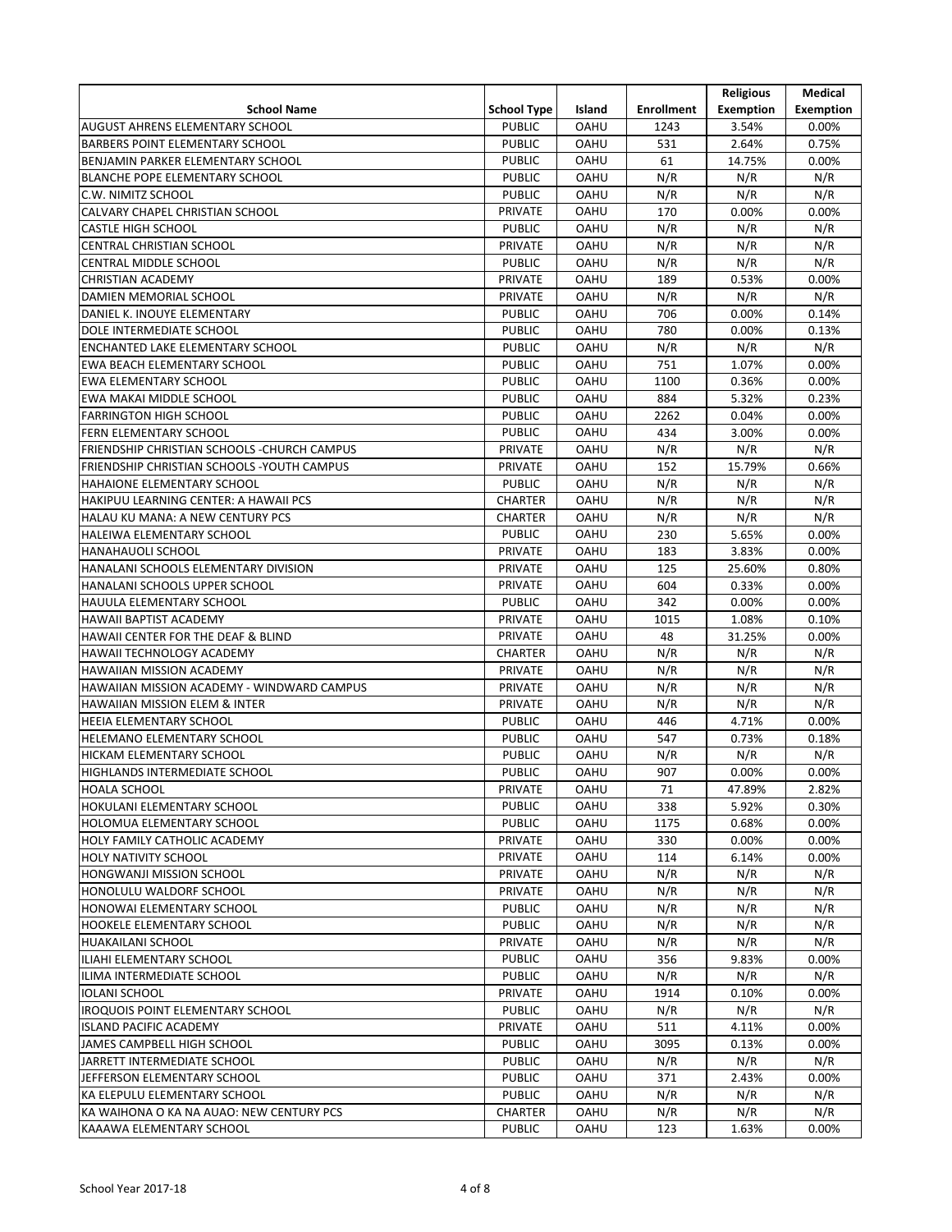|                                              |                    |             |                   | <b>Religious</b> | Medical          |
|----------------------------------------------|--------------------|-------------|-------------------|------------------|------------------|
| <b>School Name</b>                           | <b>School Type</b> | Island      | <b>Enrollment</b> | <b>Exemption</b> | <b>Exemption</b> |
| <b>AUGUST AHRENS ELEMENTARY SCHOOL</b>       | <b>PUBLIC</b>      | <b>OAHU</b> | 1243              | 3.54%            | 0.00%            |
| <b>BARBERS POINT ELEMENTARY SCHOOL</b>       | <b>PUBLIC</b>      | <b>OAHU</b> | 531               | 2.64%            | 0.75%            |
| BENJAMIN PARKER ELEMENTARY SCHOOL            | <b>PUBLIC</b>      | <b>OAHU</b> | 61                | 14.75%           | 0.00%            |
| <b>BLANCHE POPE ELEMENTARY SCHOOL</b>        | <b>PUBLIC</b>      | <b>OAHU</b> | N/R               | N/R              | N/R              |
| C.W. NIMITZ SCHOOL                           | <b>PUBLIC</b>      | <b>OAHU</b> | N/R               | N/R              | N/R              |
| CALVARY CHAPEL CHRISTIAN SCHOOL              | <b>PRIVATE</b>     | <b>OAHU</b> | 170               | 0.00%            | 0.00%            |
| <b>CASTLE HIGH SCHOOL</b>                    | <b>PUBLIC</b>      | <b>OAHU</b> | N/R               | N/R              | N/R              |
| CENTRAL CHRISTIAN SCHOOL                     | <b>PRIVATE</b>     | <b>OAHU</b> | N/R               | N/R              | N/R              |
| <b>CENTRAL MIDDLE SCHOOL</b>                 | <b>PUBLIC</b>      | <b>OAHU</b> | N/R               | N/R              | N/R              |
| <b>CHRISTIAN ACADEMY</b>                     | PRIVATE            | <b>OAHU</b> | 189               | 0.53%            | 0.00%            |
| DAMIEN MEMORIAL SCHOOL                       | <b>PRIVATE</b>     | <b>OAHU</b> | N/R               | N/R              | N/R              |
| DANIEL K. INOUYE ELEMENTARY                  | <b>PUBLIC</b>      | <b>OAHU</b> | 706               | 0.00%            | 0.14%            |
| DOLE INTERMEDIATE SCHOOL                     | <b>PUBLIC</b>      | <b>OAHU</b> | 780               | 0.00%            | 0.13%            |
| <b>ENCHANTED LAKE ELEMENTARY SCHOOL</b>      | <b>PUBLIC</b>      | <b>OAHU</b> | N/R               | N/R              | N/R              |
| EWA BEACH ELEMENTARY SCHOOL                  | <b>PUBLIC</b>      | <b>OAHU</b> | 751               | 1.07%            | 0.00%            |
| <b>EWA ELEMENTARY SCHOOL</b>                 | <b>PUBLIC</b>      | <b>OAHU</b> | 1100              | 0.36%            | 0.00%            |
| EWA MAKAI MIDDLE SCHOOL                      | <b>PUBLIC</b>      | <b>OAHU</b> | 884               | 5.32%            | 0.23%            |
| <b>FARRINGTON HIGH SCHOOL</b>                | <b>PUBLIC</b>      | <b>OAHU</b> | 2262              | 0.04%            | 0.00%            |
| <b>FERN ELEMENTARY SCHOOL</b>                | <b>PUBLIC</b>      | <b>OAHU</b> | 434               | 3.00%            | 0.00%            |
|                                              |                    |             | N/R               | N/R              | N/R              |
| FRIENDSHIP CHRISTIAN SCHOOLS - CHURCH CAMPUS | <b>PRIVATE</b>     | <b>OAHU</b> |                   |                  |                  |
| FRIENDSHIP CHRISTIAN SCHOOLS - YOUTH CAMPUS  | <b>PRIVATE</b>     | OAHU        | 152               | 15.79%           | 0.66%            |
| HAHAIONE ELEMENTARY SCHOOL                   | <b>PUBLIC</b>      | <b>OAHU</b> | N/R               | N/R              | N/R              |
| HAKIPUU LEARNING CENTER: A HAWAII PCS        | <b>CHARTER</b>     | <b>OAHU</b> | N/R               | N/R              | N/R              |
| HALAU KU MANA: A NEW CENTURY PCS             | <b>CHARTER</b>     | <b>OAHU</b> | N/R               | N/R              | N/R              |
| HALEIWA ELEMENTARY SCHOOL                    | <b>PUBLIC</b>      | <b>OAHU</b> | 230               | 5.65%            | 0.00%            |
| <b>HANAHAUOLI SCHOOL</b>                     | <b>PRIVATE</b>     | <b>OAHU</b> | 183               | 3.83%            | 0.00%            |
| HANALANI SCHOOLS ELEMENTARY DIVISION         | <b>PRIVATE</b>     | <b>OAHU</b> | 125               | 25.60%           | 0.80%            |
| HANALANI SCHOOLS UPPER SCHOOL                | PRIVATE            | <b>OAHU</b> | 604               | 0.33%            | 0.00%            |
| HAUULA ELEMENTARY SCHOOL                     | <b>PUBLIC</b>      | <b>OAHU</b> | 342               | 0.00%            | 0.00%            |
| HAWAII BAPTIST ACADEMY                       | <b>PRIVATE</b>     | <b>OAHU</b> | 1015              | 1.08%            | 0.10%            |
| HAWAII CENTER FOR THE DEAF & BLIND           | <b>PRIVATE</b>     | <b>OAHU</b> | 48                | 31.25%           | 0.00%            |
| HAWAII TECHNOLOGY ACADEMY                    | <b>CHARTER</b>     | <b>OAHU</b> | N/R               | N/R              | N/R              |
| <b>HAWAIIAN MISSION ACADEMY</b>              | <b>PRIVATE</b>     | <b>OAHU</b> | N/R               | N/R              | N/R              |
| HAWAIIAN MISSION ACADEMY - WINDWARD CAMPUS   | <b>PRIVATE</b>     | <b>OAHU</b> | N/R               | N/R              | N/R              |
| <b>HAWAIIAN MISSION ELEM &amp; INTER</b>     | <b>PRIVATE</b>     | OAHU        | N/R               | N/R              | N/R              |
| HEEIA ELEMENTARY SCHOOL                      | <b>PUBLIC</b>      | <b>OAHU</b> | 446               | 4.71%            | 0.00%            |
| HELEMANO ELEMENTARY SCHOOL                   | <b>PUBLIC</b>      | <b>OAHU</b> | 547               | 0.73%            | 0.18%            |
| HICKAM ELEMENTARY SCHOOL                     | <b>PUBLIC</b>      | <b>OAHU</b> | N/R               | N/R              | N/R              |
| HIGHLANDS INTERMEDIATE SCHOOL                | <b>PUBLIC</b>      | <b>OAHU</b> | 907               | 0.00%            | 0.00%            |
| <b>HOALA SCHOOL</b>                          | PRIVATE            | <b>OAHU</b> | 71                | 47.89%           | 2.82%            |
| HOKULANI ELEMENTARY SCHOOL                   | <b>PUBLIC</b>      | <b>OAHU</b> | 338               | 5.92%            | 0.30%            |
| HOLOMUA ELEMENTARY SCHOOL                    | <b>PUBLIC</b>      | <b>OAHU</b> | 1175              | 0.68%            | 0.00%            |
| HOLY FAMILY CATHOLIC ACADEMY                 | PRIVATE            | <b>OAHU</b> | 330               | $0.00\%$         | 0.00%            |
| <b>HOLY NATIVITY SCHOOL</b>                  | PRIVATE            | <b>OAHU</b> | 114               | 6.14%            | 0.00%            |
| <b>HONGWANJI MISSION SCHOOL</b>              | PRIVATE            | OAHU        | N/R               | N/R              | N/R              |
| HONOLULU WALDORF SCHOOL                      | PRIVATE            | <b>OAHU</b> | N/R               | N/R              | N/R              |
| HONOWAI ELEMENTARY SCHOOL                    | <b>PUBLIC</b>      | <b>OAHU</b> | N/R               | N/R              | N/R              |
| HOOKELE ELEMENTARY SCHOOL                    | <b>PUBLIC</b>      | <b>OAHU</b> | N/R               | N/R              | N/R              |
| <b>HUAKAILANI SCHOOL</b>                     | PRIVATE            | OAHU        | N/R               | N/R              | N/R              |
| ILIAHI ELEMENTARY SCHOOL                     | <b>PUBLIC</b>      | <b>OAHU</b> | 356               | 9.83%            | 0.00%            |
| ILIMA INTERMEDIATE SCHOOL                    | <b>PUBLIC</b>      | <b>OAHU</b> | N/R               | N/R              | N/R              |
| <b>IOLANI SCHOOL</b>                         | <b>PRIVATE</b>     | <b>OAHU</b> | 1914              | 0.10%            | 0.00%            |
| <b>IROQUOIS POINT ELEMENTARY SCHOOL</b>      | <b>PUBLIC</b>      | <b>OAHU</b> | N/R               | N/R              | N/R              |
| <b>ISLAND PACIFIC ACADEMY</b>                | PRIVATE            | <b>OAHU</b> | 511               | 4.11%            | 0.00%            |
| JAMES CAMPBELL HIGH SCHOOL                   | <b>PUBLIC</b>      | <b>OAHU</b> | 3095              | 0.13%            | 0.00%            |
| JARRETT INTERMEDIATE SCHOOL                  | <b>PUBLIC</b>      | <b>OAHU</b> | N/R               | N/R              | N/R              |
| JEFFERSON ELEMENTARY SCHOOL                  | <b>PUBLIC</b>      | <b>OAHU</b> | 371               | 2.43%            | $0.00\%$         |
| KA ELEPULU ELEMENTARY SCHOOL                 | <b>PUBLIC</b>      | <b>OAHU</b> | N/R               | N/R              | N/R              |
| KA WAIHONA O KA NA AUAO: NEW CENTURY PCS     | <b>CHARTER</b>     | <b>OAHU</b> | N/R               | N/R              | N/R              |
| KAAAWA ELEMENTARY SCHOOL                     | <b>PUBLIC</b>      | <b>OAHU</b> | 123               | 1.63%            | 0.00%            |
|                                              |                    |             |                   |                  |                  |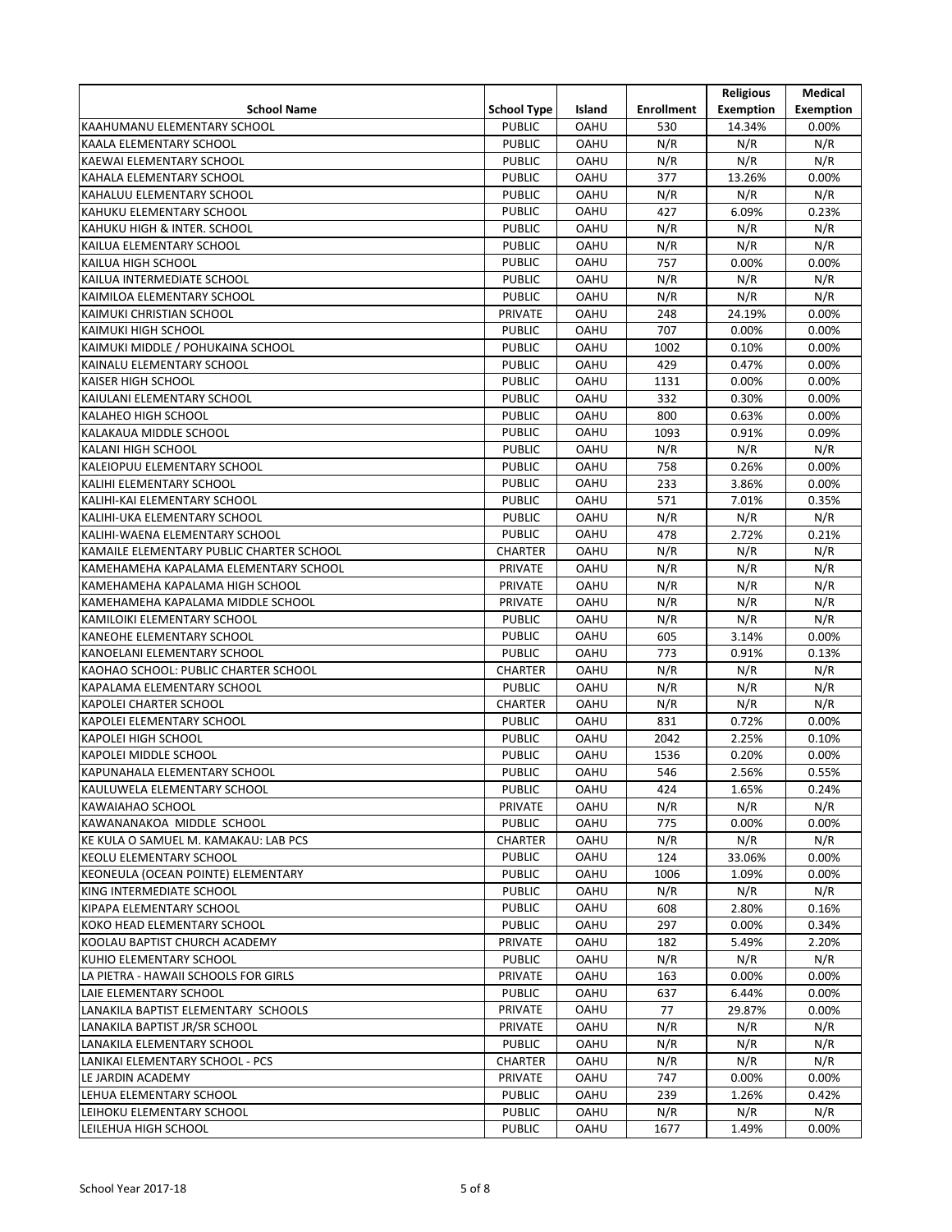|                                                               |                                |             |                   | <b>Religious</b> | Medical          |
|---------------------------------------------------------------|--------------------------------|-------------|-------------------|------------------|------------------|
| <b>School Name</b>                                            | <b>School Type</b>             | Island      | <b>Enrollment</b> | <b>Exemption</b> | <b>Exemption</b> |
| KAAHUMANU ELEMENTARY SCHOOL                                   | <b>PUBLIC</b>                  | <b>OAHU</b> | 530               | 14.34%           | 0.00%            |
| KAALA ELEMENTARY SCHOOL                                       | <b>PUBLIC</b>                  | <b>OAHU</b> | N/R               | N/R              | N/R              |
| KAEWAI ELEMENTARY SCHOOL                                      | <b>PUBLIC</b>                  | <b>OAHU</b> | N/R               | N/R              | N/R              |
| KAHALA ELEMENTARY SCHOOL                                      | <b>PUBLIC</b>                  | <b>OAHU</b> | 377               | 13.26%           | 0.00%            |
| KAHALUU ELEMENTARY SCHOOL                                     | <b>PUBLIC</b>                  | <b>OAHU</b> | N/R               | N/R              | N/R              |
| KAHUKU ELEMENTARY SCHOOL                                      | <b>PUBLIC</b>                  | <b>OAHU</b> | 427               | 6.09%            | 0.23%            |
| KAHUKU HIGH & INTER. SCHOOL                                   | <b>PUBLIC</b>                  | <b>OAHU</b> | N/R               | N/R              | N/R              |
| KAILUA ELEMENTARY SCHOOL                                      | <b>PUBLIC</b>                  | <b>OAHU</b> | N/R               | N/R              | N/R              |
| KAILUA HIGH SCHOOL                                            | <b>PUBLIC</b>                  | <b>OAHU</b> | 757               | 0.00%            | 0.00%            |
| KAILUA INTERMEDIATE SCHOOL                                    | <b>PUBLIC</b>                  | <b>OAHU</b> | N/R               | N/R              | N/R              |
| KAIMILOA ELEMENTARY SCHOOL                                    | <b>PUBLIC</b>                  | <b>OAHU</b> | N/R               | N/R              | N/R              |
| KAIMUKI CHRISTIAN SCHOOL                                      | <b>PRIVATE</b>                 | <b>OAHU</b> | 248               | 24.19%           | 0.00%            |
| <b>KAIMUKI HIGH SCHOOL</b>                                    | <b>PUBLIC</b>                  | <b>OAHU</b> | 707               | 0.00%            | 0.00%            |
| KAIMUKI MIDDLE / POHUKAINA SCHOOL                             | <b>PUBLIC</b>                  | <b>OAHU</b> | 1002              | 0.10%            | 0.00%            |
| KAINALU ELEMENTARY SCHOOL                                     | <b>PUBLIC</b>                  | <b>OAHU</b> | 429               | 0.47%            | 0.00%            |
| <b>KAISER HIGH SCHOOL</b>                                     | <b>PUBLIC</b>                  | <b>OAHU</b> | 1131              | 0.00%            | 0.00%            |
| KAIULANI ELEMENTARY SCHOOL                                    | <b>PUBLIC</b>                  | <b>OAHU</b> | 332               | 0.30%            | 0.00%            |
| <b>KALAHEO HIGH SCHOOL</b>                                    | <b>PUBLIC</b>                  | <b>OAHU</b> | 800               | 0.63%            | 0.00%            |
| KALAKAUA MIDDLE SCHOOL                                        | <b>PUBLIC</b>                  | <b>OAHU</b> | 1093              | 0.91%            | 0.09%            |
| <b>KALANI HIGH SCHOOL</b>                                     | <b>PUBLIC</b>                  | <b>OAHU</b> | N/R               | N/R              | N/R              |
| KALEIOPUU ELEMENTARY SCHOOL                                   | <b>PUBLIC</b>                  | <b>OAHU</b> | 758               | 0.26%            | 0.00%            |
| KALIHI ELEMENTARY SCHOOL                                      | <b>PUBLIC</b>                  | <b>OAHU</b> | 233               | 3.86%            | 0.00%            |
| KALIHI-KAI ELEMENTARY SCHOOL                                  | <b>PUBLIC</b>                  | <b>OAHU</b> | 571               | 7.01%            | 0.35%            |
| KALIHI-UKA ELEMENTARY SCHOOL                                  | <b>PUBLIC</b>                  | <b>OAHU</b> | N/R               | N/R              | N/R              |
| KALIHI-WAENA ELEMENTARY SCHOOL                                | <b>PUBLIC</b>                  | <b>OAHU</b> | 478               | 2.72%            | 0.21%            |
| KAMAILE ELEMENTARY PUBLIC CHARTER SCHOOL                      | <b>CHARTER</b>                 | <b>OAHU</b> | N/R               | N/R              | N/R              |
| KAMEHAMEHA KAPALAMA ELEMENTARY SCHOOL                         | <b>PRIVATE</b>                 | <b>OAHU</b> | N/R               | N/R              | N/R              |
| KAMEHAMEHA KAPALAMA HIGH SCHOOL                               | <b>PRIVATE</b>                 | <b>OAHU</b> | N/R               | N/R              | N/R              |
| KAMEHAMEHA KAPALAMA MIDDLE SCHOOL                             | <b>PRIVATE</b>                 | <b>OAHU</b> | N/R               | N/R              | N/R              |
| KAMILOIKI ELEMENTARY SCHOOL                                   | <b>PUBLIC</b>                  | <b>OAHU</b> | N/R               | N/R              | N/R              |
| KANEOHE ELEMENTARY SCHOOL                                     | <b>PUBLIC</b>                  | <b>OAHU</b> | 605               | 3.14%            | 0.00%            |
| KANOELANI ELEMENTARY SCHOOL                                   | <b>PUBLIC</b>                  | <b>OAHU</b> | 773               | 0.91%            |                  |
| KAOHAO SCHOOL: PUBLIC CHARTER SCHOOL                          | <b>CHARTER</b>                 | <b>OAHU</b> | N/R               | N/R              | 0.13%<br>N/R     |
| KAPALAMA ELEMENTARY SCHOOL                                    | <b>PUBLIC</b>                  | <b>OAHU</b> | N/R               | N/R              | N/R              |
| <b>KAPOLEI CHARTER SCHOOL</b>                                 | <b>CHARTER</b>                 | OAHU        | N/R               | N/R              | N/R              |
| KAPOLEI ELEMENTARY SCHOOL                                     | <b>PUBLIC</b>                  | <b>OAHU</b> | 831               | 0.72%            | 0.00%            |
| <b>KAPOLEI HIGH SCHOOL</b>                                    | <b>PUBLIC</b>                  | <b>OAHU</b> | 2042              | 2.25%            | 0.10%            |
| <b>KAPOLEI MIDDLE SCHOOL</b>                                  | <b>PUBLIC</b>                  | <b>OAHU</b> | 1536              | 0.20%            | 0.00%            |
| KAPUNAHALA ELEMENTARY SCHOOL                                  | <b>PUBLIC</b>                  | <b>OAHU</b> | 546               | 2.56%            | 0.55%            |
|                                                               | <b>PUBLIC</b>                  | <b>OAHU</b> | 424               |                  |                  |
| KAULUWELA ELEMENTARY SCHOOL                                   | <b>PRIVATE</b>                 | <b>OAHU</b> | N/R               | 1.65%<br>N/R     | 0.24%<br>N/R     |
| KAWAIAHAO SCHOOL<br>KAWANANAKOA MIDDLE SCHOOL                 | <b>PUBLIC</b>                  | <b>UHAO</b> | 775               | 0.00%            | 0.00%            |
|                                                               | <b>CHARTER</b>                 |             |                   |                  |                  |
| KE KULA O SAMUEL M. KAMAKAU: LAB PCS                          |                                | OAHU        | N/R               | N/R              | N/R              |
| KEOLU ELEMENTARY SCHOOL<br>KEONEULA (OCEAN POINTE) ELEMENTARY | <b>PUBLIC</b><br><b>PUBLIC</b> | <b>OAHU</b> | 124<br>1006       | 33.06%<br>1.09%  | 0.00%<br>0.00%   |
|                                                               |                                | OAHU        |                   |                  |                  |
| KING INTERMEDIATE SCHOOL                                      | <b>PUBLIC</b><br><b>PUBLIC</b> | <b>OAHU</b> | N/R               | N/R              | N/R              |
| KIPAPA ELEMENTARY SCHOOL                                      |                                | <b>OAHU</b> | 608               | 2.80%            | 0.16%            |
| KOKO HEAD ELEMENTARY SCHOOL                                   | <b>PUBLIC</b>                  | <b>OAHU</b> | 297               | 0.00%            | 0.34%            |
| KOOLAU BAPTIST CHURCH ACADEMY                                 | PRIVATE                        | <b>OAHU</b> | 182               | 5.49%            | 2.20%            |
| KUHIO ELEMENTARY SCHOOL                                       | <b>PUBLIC</b>                  | <b>OAHU</b> | N/R               | N/R              | N/R              |
| LA PIETRA - HAWAII SCHOOLS FOR GIRLS                          | <b>PRIVATE</b>                 | <b>OAHU</b> | 163               | 0.00%            | 0.00%            |
| LAIE ELEMENTARY SCHOOL                                        | <b>PUBLIC</b>                  | <b>OAHU</b> | 637               | 6.44%            | 0.00%            |
| LANAKILA BAPTIST ELEMENTARY SCHOOLS                           | PRIVATE                        | <b>OAHU</b> | 77                | 29.87%           | 0.00%            |
| LANAKILA BAPTIST JR/SR SCHOOL                                 | PRIVATE                        | <b>UHAO</b> | N/R               | N/R              | N/R              |
| LANAKILA ELEMENTARY SCHOOL                                    | <b>PUBLIC</b>                  | <b>OAHU</b> | N/R               | N/R              | N/R              |
| LANIKAI ELEMENTARY SCHOOL - PCS                               | <b>CHARTER</b>                 | <b>OAHU</b> | N/R               | N/R              | N/R              |
| LE JARDIN ACADEMY                                             | PRIVATE                        | <b>OAHU</b> | 747               | 0.00%            | 0.00%            |
| LEHUA ELEMENTARY SCHOOL                                       | <b>PUBLIC</b>                  | <b>OAHU</b> | 239               | 1.26%            | 0.42%            |
| LEIHOKU ELEMENTARY SCHOOL                                     | <b>PUBLIC</b>                  | <b>OAHU</b> | N/R               | N/R              | N/R              |
| LEILEHUA HIGH SCHOOL                                          | <b>PUBLIC</b>                  | <b>OAHU</b> | 1677              | 1.49%            | 0.00%            |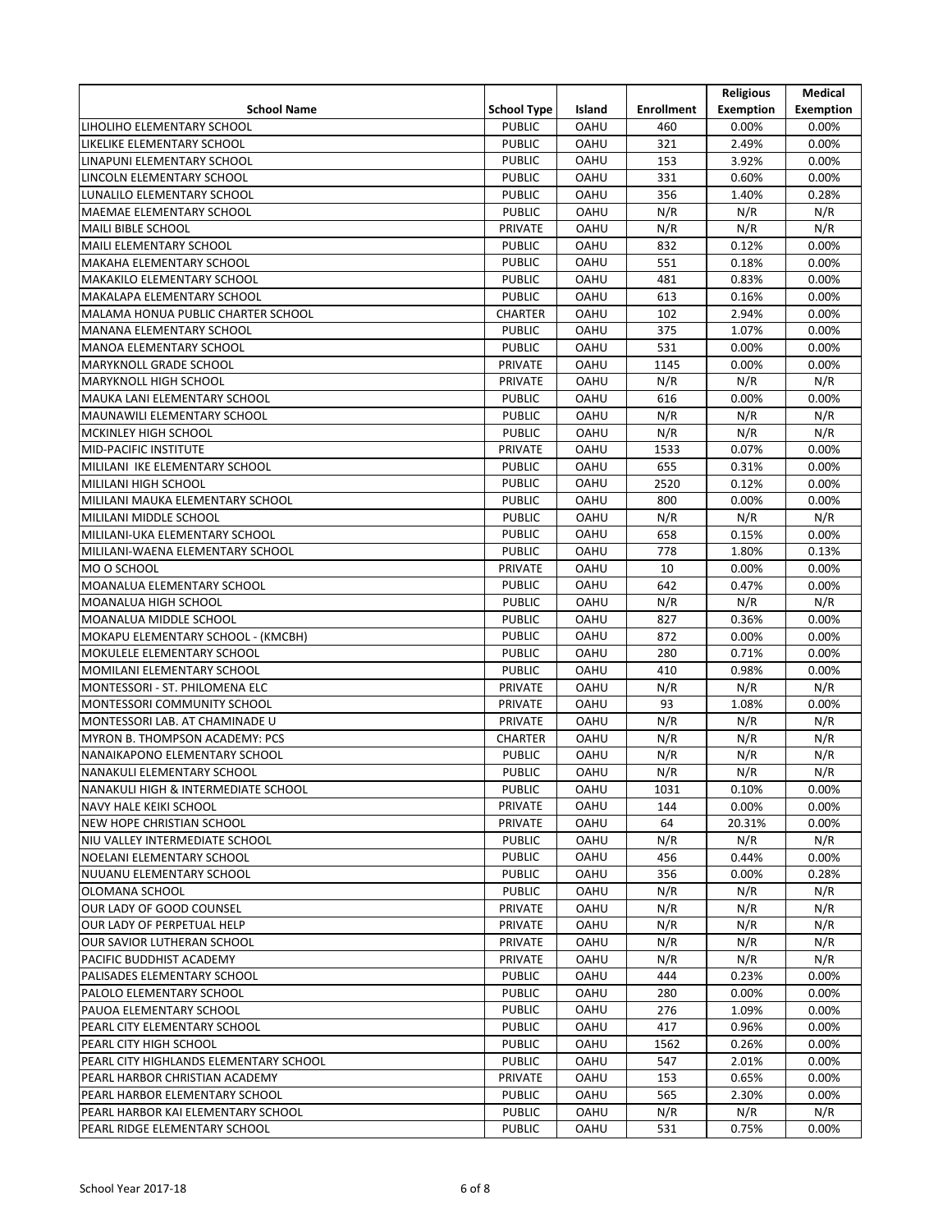|                                        |                                |                            |                   | <b>Religious</b> | Medical          |
|----------------------------------------|--------------------------------|----------------------------|-------------------|------------------|------------------|
| <b>School Name</b>                     | <b>School Type</b>             | Island                     | <b>Enrollment</b> | Exemption        | <b>Exemption</b> |
| LIHOLIHO ELEMENTARY SCHOOL             | <b>PUBLIC</b>                  | <b>OAHU</b>                | 460               | 0.00%            | 0.00%            |
| LIKELIKE ELEMENTARY SCHOOL             | <b>PUBLIC</b>                  | <b>OAHU</b>                | 321               | 2.49%            | 0.00%            |
| LINAPUNI ELEMENTARY SCHOOL             | <b>PUBLIC</b>                  | <b>OAHU</b>                | 153               | 3.92%            | 0.00%            |
| LINCOLN ELEMENTARY SCHOOL              | <b>PUBLIC</b>                  | <b>OAHU</b>                | 331               | 0.60%            | 0.00%            |
| LUNALILO ELEMENTARY SCHOOL             | <b>PUBLIC</b>                  | <b>OAHU</b>                | 356               | 1.40%            | 0.28%            |
| MAEMAE ELEMENTARY SCHOOL               | <b>PUBLIC</b>                  | <b>OAHU</b>                | N/R               | N/R              | N/R              |
| <b>MAILI BIBLE SCHOOL</b>              | <b>PRIVATE</b>                 | <b>OAHU</b>                | N/R               | N/R              | N/R              |
| <b>MAILI ELEMENTARY SCHOOL</b>         | <b>PUBLIC</b>                  | <b>OAHU</b>                | 832               | 0.12%            | 0.00%            |
| MAKAHA ELEMENTARY SCHOOL               | <b>PUBLIC</b>                  | <b>OAHU</b>                | 551               | 0.18%            | 0.00%            |
| MAKAKILO ELEMENTARY SCHOOL             | <b>PUBLIC</b>                  | <b>OAHU</b>                | 481               | 0.83%            | 0.00%            |
| MAKALAPA ELEMENTARY SCHOOL             | <b>PUBLIC</b>                  | <b>OAHU</b>                | 613               | 0.16%            | 0.00%            |
| MALAMA HONUA PUBLIC CHARTER SCHOOL     | <b>CHARTER</b>                 | <b>OAHU</b>                | 102               | 2.94%            | 0.00%            |
| <b>MANANA ELEMENTARY SCHOOL</b>        | <b>PUBLIC</b>                  | <b>OAHU</b>                | 375               | 1.07%            | 0.00%            |
| <b>MANOA ELEMENTARY SCHOOL</b>         | <b>PUBLIC</b>                  | <b>OAHU</b>                | 531               | 0.00%            | 0.00%            |
| MARYKNOLL GRADE SCHOOL                 | <b>PRIVATE</b>                 | <b>OAHU</b>                | 1145              | 0.00%            | 0.00%            |
| <b>MARYKNOLL HIGH SCHOOL</b>           | <b>PRIVATE</b>                 | <b>OAHU</b>                | N/R               | N/R              | N/R              |
| MAUKA LANI ELEMENTARY SCHOOL           | <b>PUBLIC</b>                  | <b>OAHU</b>                | 616               | 0.00%            | 0.00%            |
| MAUNAWILI ELEMENTARY SCHOOL            | <b>PUBLIC</b>                  | <b>OAHU</b>                | N/R               | N/R              | N/R              |
| <b>MCKINLEY HIGH SCHOOL</b>            | <b>PUBLIC</b>                  | <b>OAHU</b>                | N/R               | N/R              | N/R              |
| <b>MID-PACIFIC INSTITUTE</b>           | <b>PRIVATE</b>                 | <b>OAHU</b>                | 1533              | 0.07%            | 0.00%            |
| MILILANI IKE ELEMENTARY SCHOOL         | <b>PUBLIC</b>                  | OAHU                       | 655               | 0.31%            | 0.00%            |
| MILILANI HIGH SCHOOL                   | <b>PUBLIC</b>                  | <b>OAHU</b>                | 2520              | 0.12%            | 0.00%            |
|                                        | <b>PUBLIC</b>                  | <b>OAHU</b>                | 800               |                  |                  |
| MILILANI MAUKA ELEMENTARY SCHOOL       |                                |                            |                   | 0.00%            | 0.00%            |
| MILILANI MIDDLE SCHOOL                 | <b>PUBLIC</b><br><b>PUBLIC</b> | <b>OAHU</b><br><b>OAHU</b> | N/R               | N/R              | N/R              |
| MILILANI-UKA ELEMENTARY SCHOOL         |                                |                            | 658               | 0.15%            | 0.00%            |
| MILILANI-WAENA ELEMENTARY SCHOOL       | <b>PUBLIC</b>                  | <b>OAHU</b>                | 778               | 1.80%            | 0.13%            |
| MO O SCHOOL                            | <b>PRIVATE</b>                 | <b>OAHU</b>                | 10                | 0.00%            | 0.00%            |
| MOANALUA ELEMENTARY SCHOOL             | <b>PUBLIC</b>                  | <b>OAHU</b>                | 642               | 0.47%            | 0.00%            |
| MOANALUA HIGH SCHOOL                   | <b>PUBLIC</b>                  | <b>OAHU</b>                | N/R               | N/R              | N/R              |
| MOANALUA MIDDLE SCHOOL                 | <b>PUBLIC</b>                  | <b>OAHU</b>                | 827               | 0.36%            | 0.00%            |
| MOKAPU ELEMENTARY SCHOOL - (KMCBH)     | <b>PUBLIC</b>                  | <b>OAHU</b>                | 872               | 0.00%            | 0.00%            |
| MOKULELE ELEMENTARY SCHOOL             | <b>PUBLIC</b>                  | <b>OAHU</b>                | 280               | 0.71%            | 0.00%            |
| MOMILANI ELEMENTARY SCHOOL             | <b>PUBLIC</b>                  | <b>OAHU</b>                | 410               | 0.98%            | 0.00%            |
| MONTESSORI - ST. PHILOMENA ELC         | <b>PRIVATE</b>                 | <b>OAHU</b>                | N/R               | N/R              | N/R              |
| MONTESSORI COMMUNITY SCHOOL            | <b>PRIVATE</b>                 | <b>OAHU</b>                | 93                | 1.08%            | 0.00%            |
| MONTESSORI LAB. AT CHAMINADE U         | <b>PRIVATE</b>                 | <b>OAHU</b>                | N/R               | N/R              | N/R              |
| MYRON B. THOMPSON ACADEMY: PCS         | <b>CHARTER</b>                 | <b>OAHU</b>                | N/R               | N/R              | N/R              |
| NANAIKAPONO ELEMENTARY SCHOOL          | <b>PUBLIC</b>                  | <b>OAHU</b>                | N/R               | N/R              | N/R              |
| NANAKULI ELEMENTARY SCHOOL             | <b>PUBLIC</b>                  | <b>OAHU</b>                | N/R               | N/R              | N/R              |
| NANAKULI HIGH & INTERMEDIATE SCHOOL    | <b>PUBLIC</b>                  | <b>OAHU</b>                | 1031              | 0.10%            | 0.00%            |
| <b>NAVY HALE KEIKI SCHOOL</b>          | <b>PRIVATE</b>                 | <b>OAHU</b>                | 144               | 0.00%            | 0.00%            |
| <b>NEW HOPE CHRISTIAN SCHOOL</b>       | PRIVATE                        | <b>OAHU</b>                | 64                | 20.31%           | 0.00%            |
| NIU VALLEY INTERMEDIATE SCHOOL         | <b>PUBLIC</b>                  | <b>OAHU</b>                | N/R               | N/R              | N/R              |
| NOELANI ELEMENTARY SCHOOL              | <b>PUBLIC</b>                  | <b>OAHU</b>                | 456               | 0.44%            | 0.00%            |
| NUUANU ELEMENTARY SCHOOL               | <b>PUBLIC</b>                  | OAHU                       | 356               | 0.00%            | 0.28%            |
| OLOMANA SCHOOL                         | <b>PUBLIC</b>                  | <b>OAHU</b>                | N/R               | N/R              | N/R              |
| OUR LADY OF GOOD COUNSEL               | PRIVATE                        | <b>OAHU</b>                | N/R               | N/R              | N/R              |
| OUR LADY OF PERPETUAL HELP             | PRIVATE                        | <b>OAHU</b>                | N/R               | N/R              | N/R              |
| OUR SAVIOR LUTHERAN SCHOOL             | PRIVATE                        | OAHU                       | N/R               | N/R              | N/R              |
| PACIFIC BUDDHIST ACADEMY               | PRIVATE                        | <b>OAHU</b>                | N/R               | N/R              | N/R              |
| PALISADES ELEMENTARY SCHOOL            | <b>PUBLIC</b>                  | <b>OAHU</b>                | 444               | 0.23%            | 0.00%            |
| PALOLO ELEMENTARY SCHOOL               | <b>PUBLIC</b>                  | <b>OAHU</b>                | 280               | 0.00%            | 0.00%            |
| PAUOA ELEMENTARY SCHOOL                | <b>PUBLIC</b>                  | <b>OAHU</b>                | 276               | 1.09%            | 0.00%            |
| PEARL CITY ELEMENTARY SCHOOL           | <b>PUBLIC</b>                  | <b>OAHU</b>                | 417               | 0.96%            | 0.00%            |
| PEARL CITY HIGH SCHOOL                 | <b>PUBLIC</b>                  | <b>OAHU</b>                | 1562              | 0.26%            | 0.00%            |
| PEARL CITY HIGHLANDS ELEMENTARY SCHOOL | <b>PUBLIC</b>                  | <b>OAHU</b>                | 547               | 2.01%            | 0.00%            |
| PEARL HARBOR CHRISTIAN ACADEMY         | <b>PRIVATE</b>                 | <b>OAHU</b>                | 153               | 0.65%            | 0.00%            |
| PEARL HARBOR ELEMENTARY SCHOOL         | <b>PUBLIC</b>                  | <b>OAHU</b>                | 565               | 2.30%            | 0.00%            |
| PEARL HARBOR KAI ELEMENTARY SCHOOL     | <b>PUBLIC</b>                  | <b>OAHU</b>                | N/R               | N/R              | N/R              |
| PEARL RIDGE ELEMENTARY SCHOOL          | <b>PUBLIC</b>                  | OAHU                       | 531               | 0.75%            | 0.00%            |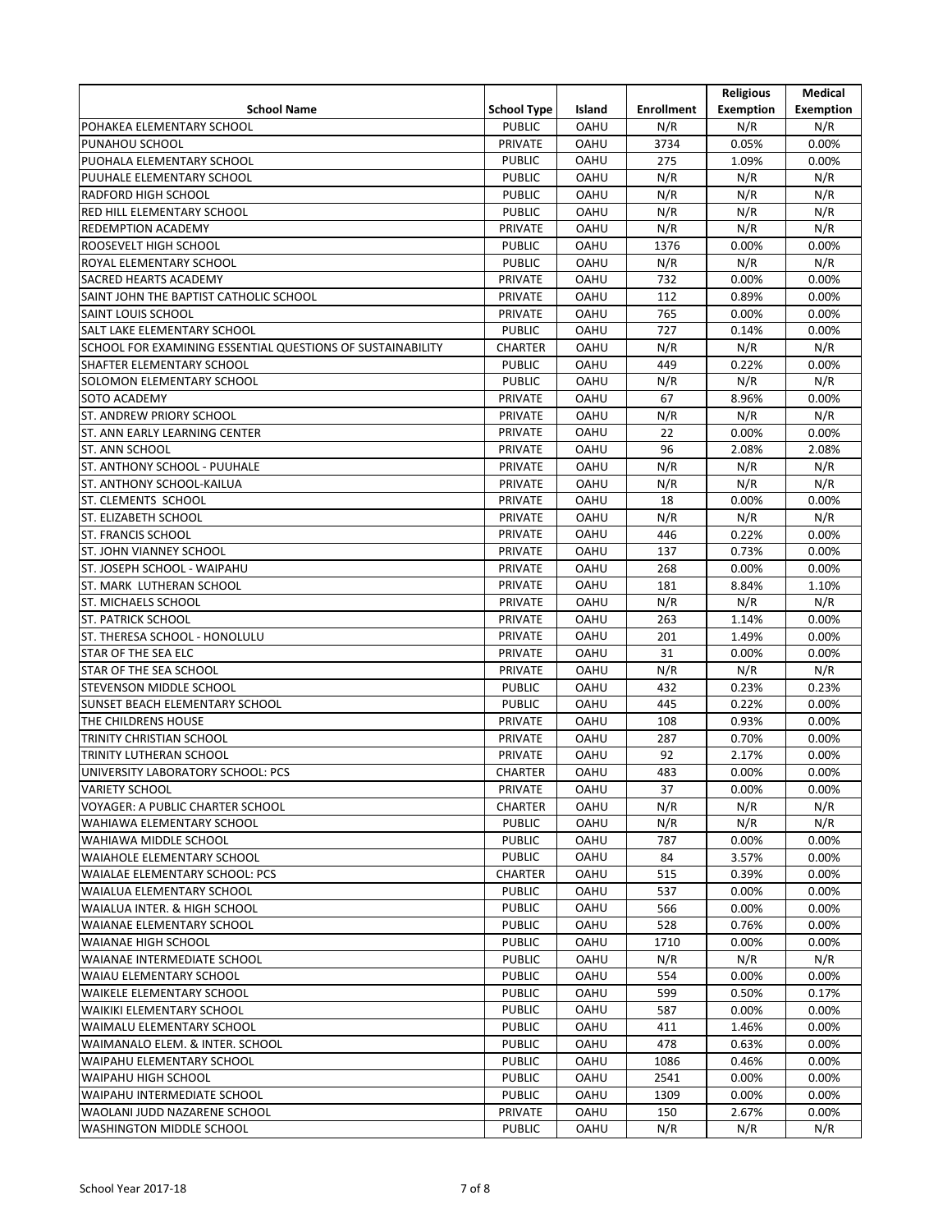|                                                            |                                  |                            |                   | <b>Religious</b> | Medical          |
|------------------------------------------------------------|----------------------------------|----------------------------|-------------------|------------------|------------------|
| <b>School Name</b>                                         | <b>School Type</b>               | Island                     | <b>Enrollment</b> | <b>Exemption</b> | <b>Exemption</b> |
| POHAKEA ELEMENTARY SCHOOL                                  | <b>PUBLIC</b>                    | <b>OAHU</b>                | N/R               | N/R              | N/R              |
| PUNAHOU SCHOOL                                             | PRIVATE                          | <b>OAHU</b>                | 3734              | 0.05%            | 0.00%            |
| PUOHALA ELEMENTARY SCHOOL                                  | <b>PUBLIC</b>                    | <b>OAHU</b>                | 275               | 1.09%            | 0.00%            |
| PUUHALE ELEMENTARY SCHOOL                                  | <b>PUBLIC</b>                    | <b>OAHU</b>                | N/R               | N/R              | N/R              |
| <b>RADFORD HIGH SCHOOL</b>                                 | <b>PUBLIC</b>                    | <b>OAHU</b>                | N/R               | N/R              | N/R              |
| RED HILL ELEMENTARY SCHOOL                                 | <b>PUBLIC</b>                    | <b>OAHU</b>                | N/R               | N/R              | N/R              |
| <b>REDEMPTION ACADEMY</b>                                  | <b>PRIVATE</b>                   | <b>OAHU</b>                | N/R               | N/R              | N/R              |
| <b>ROOSEVELT HIGH SCHOOL</b>                               | <b>PUBLIC</b>                    | <b>OAHU</b>                | 1376              | 0.00%            | 0.00%            |
| ROYAL ELEMENTARY SCHOOL                                    | <b>PUBLIC</b>                    | <b>OAHU</b>                | N/R               | N/R              | N/R              |
| SACRED HEARTS ACADEMY                                      |                                  |                            | 732               |                  | 0.00%            |
| SAINT JOHN THE BAPTIST CATHOLIC SCHOOL                     | <b>PRIVATE</b><br><b>PRIVATE</b> | <b>OAHU</b><br><b>OAHU</b> | 112               | 0.00%<br>0.89%   |                  |
| SAINT LOUIS SCHOOL                                         | <b>PRIVATE</b>                   | <b>OAHU</b>                | 765               | 0.00%            | 0.00%<br>0.00%   |
|                                                            |                                  |                            | 727               |                  |                  |
| SALT LAKE ELEMENTARY SCHOOL                                | <b>PUBLIC</b>                    | <b>OAHU</b>                |                   | 0.14%            | 0.00%            |
| SCHOOL FOR EXAMINING ESSENTIAL QUESTIONS OF SUSTAINABILITY | <b>CHARTER</b>                   | OAHU                       | N/R               | N/R              | N/R              |
| SHAFTER ELEMENTARY SCHOOL                                  | <b>PUBLIC</b>                    | <b>OAHU</b>                | 449               | 0.22%            | 0.00%            |
| SOLOMON ELEMENTARY SCHOOL                                  | <b>PUBLIC</b>                    | <b>OAHU</b>                | N/R               | N/R              | N/R              |
| <b>SOTO ACADEMY</b>                                        | PRIVATE                          | <b>OAHU</b>                | 67                | 8.96%            | 0.00%            |
| <b>ST. ANDREW PRIORY SCHOOL</b>                            | <b>PRIVATE</b>                   | <b>OAHU</b>                | N/R               | N/R              | N/R              |
| ST. ANN EARLY LEARNING CENTER                              | <b>PRIVATE</b>                   | <b>OAHU</b>                | 22                | 0.00%            | 0.00%            |
| ST. ANN SCHOOL                                             | <b>PRIVATE</b>                   | <b>OAHU</b>                | 96                | 2.08%            | 2.08%            |
| ST. ANTHONY SCHOOL - PUUHALE                               | <b>PRIVATE</b>                   | OAHU                       | N/R               | N/R              | N/R              |
| ST. ANTHONY SCHOOL-KAILUA                                  | <b>PRIVATE</b>                   | <b>OAHU</b>                | N/R               | N/R              | N/R              |
| <b>ST. CLEMENTS SCHOOL</b>                                 | <b>PRIVATE</b>                   | <b>OAHU</b>                | 18                | 0.00%            | 0.00%            |
| <b>ST. ELIZABETH SCHOOL</b>                                | <b>PRIVATE</b>                   | <b>OAHU</b>                | N/R               | N/R              | N/R              |
| <b>ST. FRANCIS SCHOOL</b>                                  | PRIVATE                          | <b>OAHU</b>                | 446               | 0.22%            | 0.00%            |
| <b>ST. JOHN VIANNEY SCHOOL</b>                             | <b>PRIVATE</b>                   | <b>OAHU</b>                | 137               | 0.73%            | 0.00%            |
| ST. JOSEPH SCHOOL - WAIPAHU                                | <b>PRIVATE</b>                   | <b>OAHU</b>                | 268               | 0.00%            | 0.00%            |
| ST. MARK LUTHERAN SCHOOL                                   | <b>PRIVATE</b>                   | <b>OAHU</b>                | 181               | 8.84%            | 1.10%            |
| <b>ST. MICHAELS SCHOOL</b>                                 | <b>PRIVATE</b>                   | <b>OAHU</b>                | N/R               | N/R              | N/R              |
| <b>ST. PATRICK SCHOOL</b>                                  | <b>PRIVATE</b>                   | <b>OAHU</b>                | 263               | 1.14%            | 0.00%            |
| ST. THERESA SCHOOL - HONOLULU                              | PRIVATE                          | <b>OAHU</b>                | 201               | 1.49%            | 0.00%            |
| STAR OF THE SEA ELC                                        | PRIVATE                          | <b>OAHU</b>                | 31                | 0.00%            | 0.00%            |
| STAR OF THE SEA SCHOOL                                     | <b>PRIVATE</b>                   | <b>OAHU</b>                | N/R               | N/R              | N/R              |
| <b>STEVENSON MIDDLE SCHOOL</b>                             | <b>PUBLIC</b>                    | <b>OAHU</b>                | 432               | 0.23%            | 0.23%            |
| SUNSET BEACH ELEMENTARY SCHOOL                             | <b>PUBLIC</b>                    | <b>OAHU</b>                | 445               | 0.22%            | 0.00%            |
| THE CHILDRENS HOUSE                                        | PRIVATE                          | <b>OAHU</b>                | 108               | 0.93%            | 0.00%            |
| TRINITY CHRISTIAN SCHOOL                                   | <b>PRIVATE</b>                   | <b>OAHU</b>                | 287               | 0.70%            | 0.00%            |
| TRINITY LUTHERAN SCHOOL                                    | <b>PRIVATE</b>                   | <b>OAHU</b>                | 92                | 2.17%            | 0.00%            |
| UNIVERSITY LABORATORY SCHOOL: PCS                          | <b>CHARTER</b>                   | <b>OAHU</b>                | 483               | 0.00%            | 0.00%            |
| <b>VARIETY SCHOOL</b>                                      | <b>PRIVATE</b>                   | <b>OAHU</b>                | 37                | 0.00%            | 0.00%            |
| VOYAGER: A PUBLIC CHARTER SCHOOL                           | <b>CHARTER</b>                   | <b>OAHU</b>                | N/R               | N/R              | N/R              |
| WAHIAWA ELEMENTARY SCHOOL                                  | <b>PUBLIC</b>                    | <b>OAHU</b>                | N/R               | N/R              | N/R              |
| WAHIAWA MIDDLE SCHOOL                                      | <b>PUBLIC</b>                    | <b>OAHU</b>                | 787               | 0.00%            | $0.00\%$         |
| <b>WAIAHOLE ELEMENTARY SCHOOL</b>                          | <b>PUBLIC</b>                    | <b>OAHU</b>                | 84                | 3.57%            | 0.00%            |
| WAIALAE ELEMENTARY SCHOOL: PCS                             | <b>CHARTER</b>                   | <b>OAHU</b>                | 515               | 0.39%            | 0.00%            |
| WAIALUA ELEMENTARY SCHOOL                                  | <b>PUBLIC</b>                    | <b>OAHU</b>                | 537               | 0.00%            | 0.00%            |
| WAIALUA INTER. & HIGH SCHOOL                               | <b>PUBLIC</b>                    | <b>OAHU</b>                | 566               | 0.00%            | 0.00%            |
|                                                            | <b>PUBLIC</b>                    | <b>OAHU</b>                | 528               | 0.76%            | 0.00%            |
| WAIANAE ELEMENTARY SCHOOL                                  |                                  |                            |                   |                  |                  |
| <b>WAIANAE HIGH SCHOOL</b>                                 | <b>PUBLIC</b>                    | <b>OAHU</b>                | 1710              | $0.00\%$         | $0.00\%$         |
| WAIANAE INTERMEDIATE SCHOOL                                | <b>PUBLIC</b>                    | <b>OAHU</b>                | N/R               | N/R              | N/R              |
| WAIAU ELEMENTARY SCHOOL                                    | <b>PUBLIC</b>                    | <b>OAHU</b>                | 554               | 0.00%            | 0.00%            |
| <b>WAIKELE ELEMENTARY SCHOOL</b>                           | <b>PUBLIC</b>                    | <b>OAHU</b>                | 599               | 0.50%            | 0.17%            |
| WAIKIKI ELEMENTARY SCHOOL                                  | <b>PUBLIC</b>                    | <b>OAHU</b>                | 587               | 0.00%            | 0.00%            |
| WAIMALU ELEMENTARY SCHOOL                                  | <b>PUBLIC</b>                    | <b>OAHU</b>                | 411               | 1.46%            | 0.00%            |
| WAIMANALO ELEM. & INTER. SCHOOL                            | <b>PUBLIC</b>                    | <b>OAHU</b>                | 478               | 0.63%            | 0.00%            |
| WAIPAHU ELEMENTARY SCHOOL                                  | <b>PUBLIC</b>                    | <b>OAHU</b>                | 1086              | 0.46%            | 0.00%            |
| <b>WAIPAHU HIGH SCHOOL</b>                                 | <b>PUBLIC</b>                    | <b>OAHU</b>                | 2541              | 0.00%            | 0.00%            |
| WAIPAHU INTERMEDIATE SCHOOL                                | <b>PUBLIC</b>                    | <b>OAHU</b>                | 1309              | 0.00%            | 0.00%            |
| WAOLANI JUDD NAZARENE SCHOOL                               | <b>PRIVATE</b>                   | <b>OAHU</b>                | 150               | 2.67%            | 0.00%            |
| WASHINGTON MIDDLE SCHOOL                                   | <b>PUBLIC</b>                    | OAHU                       | N/R               | N/R              | N/R              |